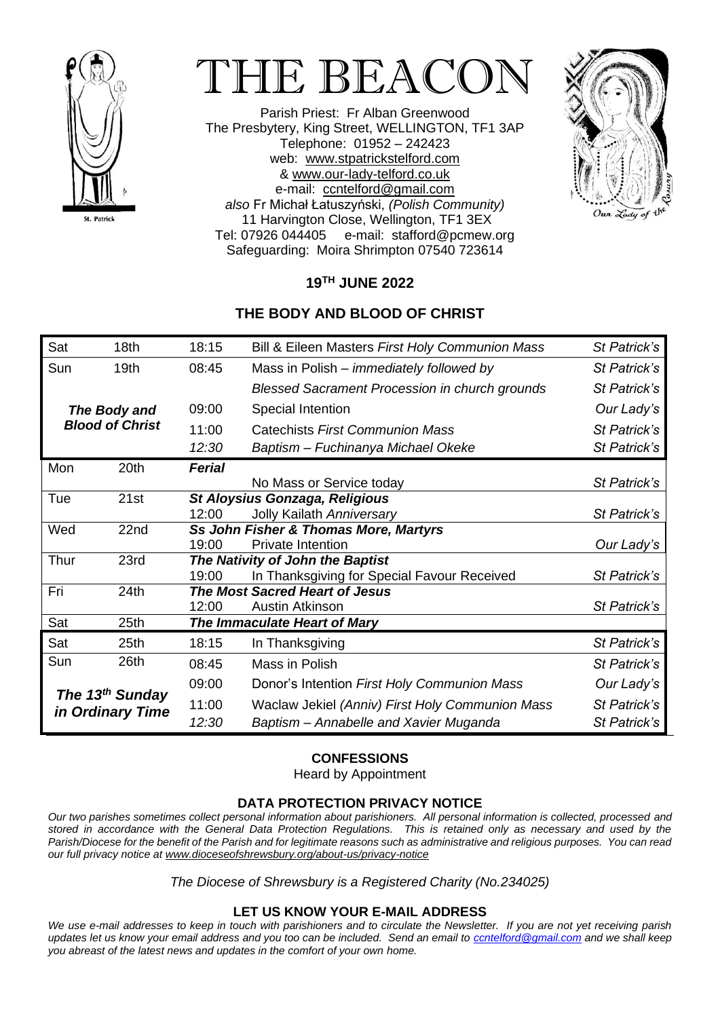

# THE BEACON

Parish Priest: Fr Alban Greenwood The Presbytery, King Street, WELLINGTON, TF1 3AP Telephone: 01952 – 242423 web: [www.stpatrickstelford.com](http://www.stpatrickstelford.com/) & [www.our-lady-telford.co.uk](http://www.our-lady-telford.co.uk/) e-mail: [ccntelford@gmail.com](mailto:ccntelford@gmail.com) *also* Fr Michał Łatuszyński, *(Polish Community)* 11 Harvington Close, Wellington, TF1 3EX Tel: 07926 044405 e-mail: stafford@pcmew.org Safeguarding: Moira Shrimpton 07540 723614



## **19 TH JUNE 2022**

### **THE BODY AND BLOOD OF CHRIST**

| Sat                                             | 18 <sub>th</sub> | 18:15                                 | Bill & Eileen Masters First Holy Communion Mass       | St Patrick's |
|-------------------------------------------------|------------------|---------------------------------------|-------------------------------------------------------|--------------|
| Sun                                             | 19 <sub>th</sub> | 08:45                                 | Mass in Polish - immediately followed by              | St Patrick's |
|                                                 |                  |                                       | <b>Blessed Sacrament Procession in church grounds</b> | St Patrick's |
| The Body and<br><b>Blood of Christ</b>          |                  | 09:00                                 | Special Intention                                     | Our Lady's   |
|                                                 |                  | 11:00                                 | Catechists First Communion Mass                       | St Patrick's |
|                                                 |                  | 12:30                                 | Baptism - Fuchinanya Michael Okeke                    | St Patrick's |
| Mon                                             | 20th             | <b>Ferial</b>                         |                                                       |              |
|                                                 |                  |                                       | No Mass or Service today                              | St Patrick's |
| Tue                                             | 21st             | <b>St Aloysius Gonzaga, Religious</b> |                                                       |              |
|                                                 |                  | 12:00                                 | Jolly Kailath Anniversary                             | St Patrick's |
| Wed                                             | 22nd             |                                       | Ss John Fisher & Thomas More, Martyrs                 |              |
|                                                 |                  | 19:00                                 | <b>Private Intention</b>                              | Our Lady's   |
| Thur                                            | 23rd             | The Nativity of John the Baptist      |                                                       |              |
|                                                 |                  | 19:00                                 | In Thanksgiving for Special Favour Received           | St Patrick's |
| Fri                                             | 24th             | <b>The Most Sacred Heart of Jesus</b> |                                                       |              |
|                                                 |                  | 12:00                                 | Austin Atkinson                                       | St Patrick's |
| Sat                                             | 25th             | The Immaculate Heart of Mary          |                                                       |              |
| Sat                                             | 25 <sub>th</sub> | 18:15                                 | In Thanksgiving                                       | St Patrick's |
| Sun                                             | 26th             | 08:45                                 | Mass in Polish                                        | St Patrick's |
| The 13 <sup>th</sup> Sunday<br>in Ordinary Time |                  | 09:00                                 | Donor's Intention First Holy Communion Mass           | Our Lady's   |
|                                                 |                  | 11:00                                 | Waclaw Jekiel (Anniv) First Holy Communion Mass       | St Patrick's |
|                                                 |                  | 12:30                                 | Baptism - Annabelle and Xavier Muganda                | St Patrick's |

#### **CONFESSIONS**

Heard by Appointment

#### **DATA PROTECTION PRIVACY NOTICE**

*Our two parishes sometimes collect personal information about parishioners. All personal information is collected, processed and stored in accordance with the General Data Protection Regulations. This is retained only as necessary and used by the Parish/Diocese for the benefit of the Parish and for legitimate reasons such as administrative and religious purposes. You can read our full privacy notice a[t www.dioceseofshrewsbury.org/about-us/privacy-notice](http://www.dioceseofshrewsbury.org/about-us/privacy-notice)*

*The Diocese of Shrewsbury is a Registered Charity (No.234025)*

#### **LET US KNOW YOUR E-MAIL ADDRESS**

*We use e-mail addresses to keep in touch with parishioners and to circulate the Newsletter. If you are not yet receiving parish updates let us know your email address and you too can be included. Send an email to [ccntelford@gmail.com](mailto:ccntelford@gmail.com) and we shall keep you abreast of the latest news and updates in the comfort of your own home.*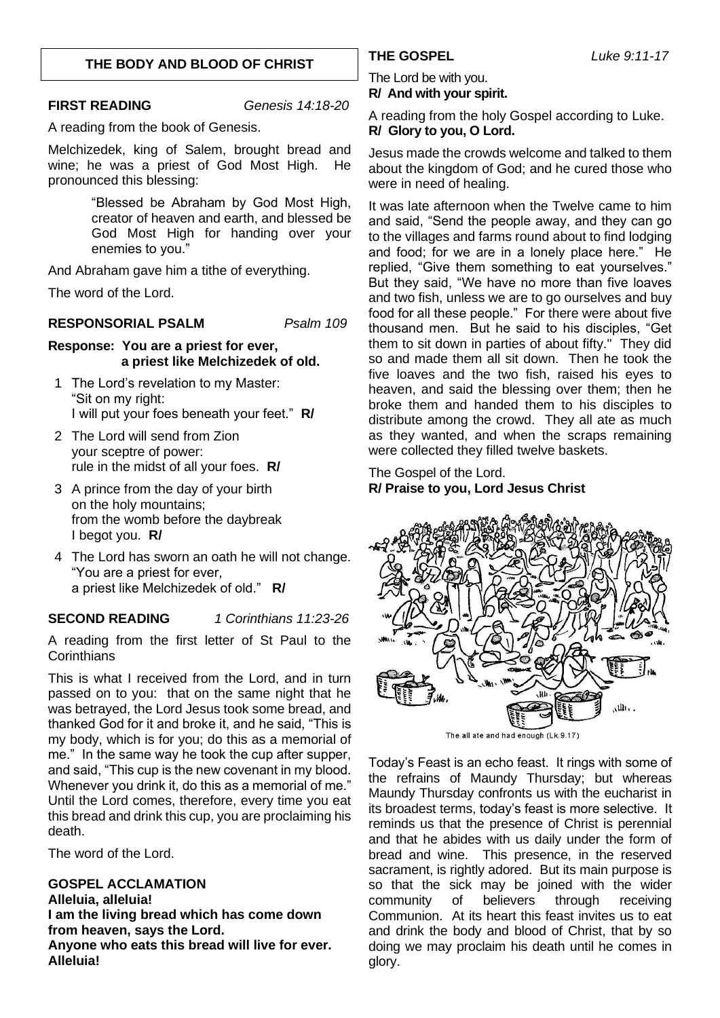#### **THE BODY AND BLOOD OF CHRIST**

**FIRST READING** *Genesis 14:18-20*

A reading from the book of Genesis.

Melchizedek, king of Salem, brought bread and wine; he was a priest of God Most High. He pronounced this blessing:

> "Blessed be Abraham by God Most High, creator of heaven and earth, and blessed be God Most High for handing over your enemies to you."

And Abraham gave him a tithe of everything.

The word of the Lord.

#### **RESPONSORIAL PSALM** *Psalm 109*

#### **Response: You are a priest for ever, a priest like Melchizedek of old.**

- 1 The Lord's revelation to my Master: "Sit on my right: I will put your foes beneath your feet." **R/**
- 2 The Lord will send from Zion your sceptre of power: rule in the midst of all your foes. **R/**
- 3 A prince from the day of your birth on the holy mountains; from the womb before the daybreak I begot you. **R/**
- 4 The Lord has sworn an oath he will not change. "You are a priest for ever, a priest like Melchizedek of old." **R/**

#### **SECOND READING** *1 Corinthians 11:23-26*

A reading from the first letter of St Paul to the **Corinthians** 

This is what I received from the Lord, and in turn passed on to you: that on the same night that he was betrayed, the Lord Jesus took some bread, and thanked God for it and broke it, and he said, "This is my body, which is for you; do this as a memorial of me." In the same way he took the cup after supper, and said, "This cup is the new covenant in my blood. Whenever you drink it, do this as a memorial of me." Until the Lord comes, therefore, every time you eat this bread and drink this cup, you are proclaiming his death.

The word of the Lord.

**GOSPEL ACCLAMATION Alleluia, alleluia! I am the living bread which has come down from heaven, says the Lord. Anyone who eats this bread will live for ever. Alleluia!**

The Lord be with you. **R/ And with your spirit.**

A reading from the holy Gospel according to Luke. **R/ Glory to you, O Lord.**

Jesus made the crowds welcome and talked to them about the kingdom of God; and he cured those who were in need of healing.

It was late afternoon when the Twelve came to him and said, "Send the people away, and they can go to the villages and farms round about to find lodging and food; for we are in a lonely place here." He replied, "Give them something to eat yourselves." But they said, "We have no more than five loaves and two fish, unless we are to go ourselves and buy food for all these people." For there were about five thousand men. But he said to his disciples, "Get them to sit down in parties of about fifty." They did so and made them all sit down. Then he took the five loaves and the two fish, raised his eyes to heaven, and said the blessing over them; then he broke them and handed them to his disciples to distribute among the crowd. They all ate as much as they wanted, and when the scraps remaining were collected they filled twelve baskets.

The Gospel of the Lord. **R/ Praise to you, Lord Jesus Christ**



Today's Feast is an echo feast. It rings with some of the refrains of Maundy Thursday; but whereas Maundy Thursday confronts us with the eucharist in its broadest terms, today's feast is more selective. It reminds us that the presence of Christ is perennial and that he abides with us daily under the form of bread and wine. This presence, in the reserved sacrament, is rightly adored. But its main purpose is so that the sick may be joined with the wider community of believers through receiving Communion. At its heart this feast invites us to eat and drink the body and blood of Christ, that by so doing we may proclaim his death until he comes in glory.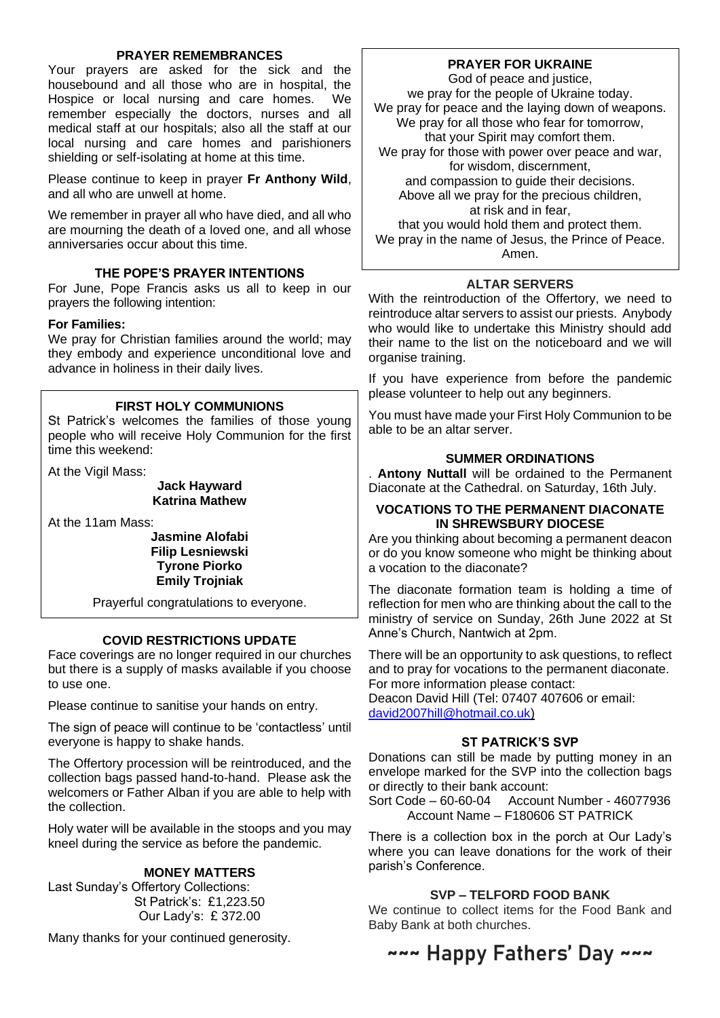#### **PRAYER REMEMBRANCES**

Your prayers are asked for the sick and the housebound and all those who are in hospital, the Hospice or local nursing and care homes. We remember especially the doctors, nurses and all medical staff at our hospitals; also all the staff at our local nursing and care homes and parishioners shielding or self-isolating at home at this time.

Please continue to keep in prayer **Fr Anthony Wild**, and all who are unwell at home.

We remember in prayer all who have died, and all who are mourning the death of a loved one, and all whose anniversaries occur about this time.

#### **THE POPE'S PRAYER INTENTIONS**

For June, Pope Francis asks us all to keep in our prayers the following intention:

#### **For Families:**

We pray for Christian families around the world; may they embody and experience unconditional love and advance in holiness in their daily lives.

#### **FIRST HOLY COMMUNIONS**

St Patrick's welcomes the families of those young people who will receive Holy Communion for the first time this weekend:

At the Vigil Mass:

#### **Jack Hayward Katrina Mathew**

At the 11am Mass:

#### **Jasmine Alofabi Filip Lesniewski Tyrone Piorko Emily Trojniak**

Prayerful congratulations to everyone.

#### **COVID RESTRICTIONS UPDATE**

Face coverings are no longer required in our churches but there is a supply of masks available if you choose to use one.

Please continue to sanitise your hands on entry.

The sign of peace will continue to be 'contactless' until everyone is happy to shake hands.

The Offertory procession will be reintroduced, and the collection bags passed hand-to-hand. Please ask the welcomers or Father Alban if you are able to help with the collection.

Holy water will be available in the stoops and you may kneel during the service as before the pandemic.

#### **MONEY MATTERS**

Last Sunday's Offertory Collections: St Patrick's: £1,223.50 Our Lady's: £ 372.00

Many thanks for your continued generosity.

#### **PRAYER FOR UKRAINE**

God of peace and justice, we pray for the people of Ukraine today. We pray for peace and the laying down of weapons. We pray for all those who fear for tomorrow, that your Spirit may comfort them. We pray for those with power over peace and war, for wisdom, discernment, and compassion to guide their decisions. Above all we pray for the precious children, at risk and in fear, that you would hold them and protect them. We pray in the name of Jesus, the Prince of Peace. Amen.

#### **ALTAR SERVERS**

With the reintroduction of the Offertory, we need to reintroduce altar servers to assist our priests. Anybody who would like to undertake this Ministry should add their name to the list on the noticeboard and we will organise training.

If you have experience from before the pandemic please volunteer to help out any beginners.

You must have made your First Holy Communion to be able to be an altar server.

#### **SUMMER ORDINATIONS**

. **Antony Nuttall** will be ordained to the Permanent Diaconate at the Cathedral. on Saturday, 16th July.

#### **VOCATIONS TO THE PERMANENT DIACONATE IN SHREWSBURY DIOCESE**

Are you thinking about becoming a permanent deacon or do you know someone who might be thinking about a vocation to the diaconate?

The diaconate formation team is holding a time of reflection for men who are thinking about the call to the ministry of service on Sunday, 26th June 2022 at St Anne's Church, Nantwich at 2pm.

There will be an opportunity to ask questions, to reflect and to pray for vocations to the permanent diaconate. For more information please contact:

Deacon David Hill [\(Tel: 07407](tel:07407) 407606 or email: [david2007hill@hotmail.co.uk\)](mailto:david2007hill@hotmail.co.uk)

#### **ST PATRICK'S SVP**

Donations can still be made by putting money in an envelope marked for the SVP into the collection bags or directly to their bank account:

Sort Code – 60-60-04 Account Number - 46077936 Account Name – F180606 ST PATRICK

There is a collection box in the porch at Our Lady's where you can leave donations for the work of their parish's Conference.

#### **SVP – TELFORD FOOD BANK**

We continue to collect items for the Food Bank and Baby Bank at both churches.

# **~~~ Happy Fathers' Day ~~~**